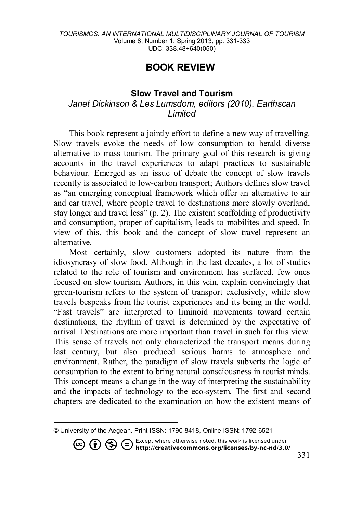## **BOOK REVIE[W1](#page-0-0)**

## **Slow Travel and Tourism** *Janet Dickinson & Les Lumsdom, editors (2010). Earthscan Limited*

This book represent a jointly effort to define a new way of travelling. Slow travels evoke the needs of low consumption to herald diverse alternative to mass tourism. The primary goal of this research is giving accounts in the travel experiences to adapt practices to sustainable behaviour. Emerged as an issue of debate the concept of slow travels recently is associated to low-carbon transport; Authors defines slow travel as "an emerging conceptual framework which offer an alternative to air and car travel, where people travel to destinations more slowly overland, stay longer and travel less" (p. 2). The existent scaffolding of productivity and consumption, proper of capitalism, leads to mobilites and speed. In view of this, this book and the concept of slow travel represent an alternative.

Most certainly, slow customers adopted its nature from the idiosyncrasy of slow food. Although in the last decades, a lot of studies related to the role of tourism and environment has surfaced, few ones focused on slow tourism. Authors, in this vein, explain convincingly that green-tourism refers to the system of transport exclusively, while slow travels bespeaks from the tourist experiences and its being in the world. "Fast travels" are interpreted to liminoid movements toward certain destinations; the rhythm of travel is determined by the expectative of arrival. Destinations are more important than travel in such for this view. This sense of travels not only characterized the transport means during last century, but also produced serious harms to atmosphere and environment. Rather, the paradigm of slow travels subverts the logic of consumption to the extent to bring natural consciousness in tourist minds. This concept means a change in the way of interpreting the sustainability and the impacts of technology to the eco-system. The first and second chapters are dedicated to the examination on how the existent means of

<span id="page-0-0"></span> $\overline{\phantom{a}}$ © University of the Aegean. Print ISSN: 1790-8418, Online ISSN: 1792-6521

**CO (b)**  $\bigoplus$  **C** Except where otherwise noted, this work is licensed under **http://creativecommons.org/licenses/by-nc-nd/3.0/**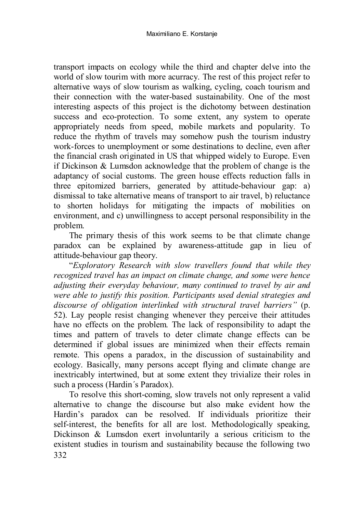transport impacts on ecology while the third and chapter delve into the world of slow tourim with more acurracy. The rest of this project refer to alternative ways of slow tourism as walking, cycling, coach tourism and their connection with the water-based sustainability. One of the most interesting aspects of this project is the dichotomy between destination success and eco-protection. To some extent, any system to operate appropriately needs from speed, mobile markets and popularity. To reduce the rhythm of travels may somehow push the tourism industry work-forces to unemployment or some destinations to decline, even after the financial crash originated in US that whipped widely to Europe. Even if Dickinson & Lumsdon acknowledge that the problem of change is the adaptancy of social customs. The green house effects reduction falls in three epitomized barriers, generated by attitude-behaviour gap: a) dismissal to take alternative means of transport to air travel, b) reluctance to shorten holidays for mitigating the impacts of mobilities on environment, and c) unwillingness to accept personal responsibility in the problem.

The primary thesis of this work seems to be that climate change paradox can be explained by awareness-attitude gap in lieu of attitude-behaviour gap theory.

"*Exploratory Research with slow travellers found that while they recognized travel has an impact on climate change, and some were hence adjusting their everyday behaviour, many continued to travel by air and were able to justify this position. Participants used denial strategies and discourse of obligation interlinked with structural travel barriers"* (p. 52). Lay people resist changing whenever they perceive their attitudes have no effects on the problem. The lack of responsibility to adapt the times and pattern of travels to deter climate change effects can be determined if global issues are minimized when their effects remain remote. This opens a paradox, in the discussion of sustainability and ecology. Basically, many persons accept flying and climate change are inextricably intertwined, but at some extent they trivialize their roles in such a process (Hardin´s Paradox).

332 To resolve this short-coming, slow travels not only represent a valid alternative to change the discourse but also make evident how the Hardin's paradox can be resolved. If individuals prioritize their self-interest, the benefits for all are lost. Methodologically speaking, Dickinson & Lumsdon exert involuntarily a serious criticism to the existent studies in tourism and sustainability because the following two